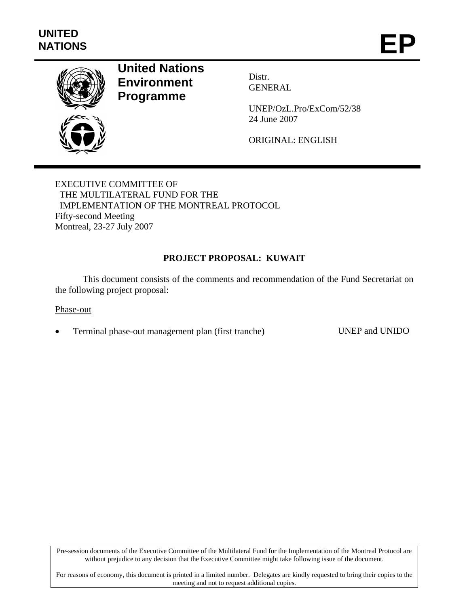

# **United Nations Environment Programme**

Distr. GENERAL

UNEP/OzL.Pro/ExCom/52/38 24 June 2007

ORIGINAL: ENGLISH

EXECUTIVE COMMITTEE OF THE MULTILATERAL FUND FOR THE IMPLEMENTATION OF THE MONTREAL PROTOCOL Fifty-second Meeting Montreal, 23-27 July 2007

## **PROJECT PROPOSAL: KUWAIT**

This document consists of the comments and recommendation of the Fund Secretariat on the following project proposal:

#### Phase-out

• Terminal phase-out management plan (first tranche) UNEP and UNIDO

Pre-session documents of the Executive Committee of the Multilateral Fund for the Implementation of the Montreal Protocol are without prejudice to any decision that the Executive Committee might take following issue of the document.

For reasons of economy, this document is printed in a limited number. Delegates are kindly requested to bring their copies to the meeting and not to request additional copies.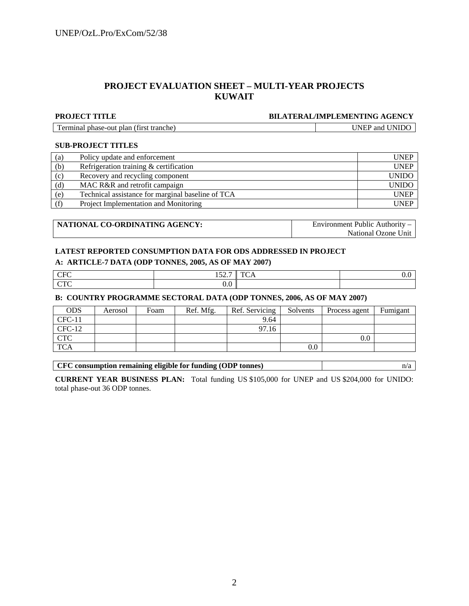#### **PROJECT EVALUATION SHEET – MULTI-YEAR PROJECTS KUWAIT**

#### **PROJECT TITLE BILATERAL/IMPLEMENTING AGENCY**

| Terminal phase-out plan (first tranche) |  |
|-----------------------------------------|--|
|-----------------------------------------|--|

UNEP and UNIDO

#### **SUB-PROJECT TITLES**

| (a) | Policy update and enforcement                     | <b>UNEP</b>  |
|-----|---------------------------------------------------|--------------|
| (b) | Refrigeration training & certification            | <b>UNEP</b>  |
| (c) | Recovery and recycling component                  | <b>UNIDO</b> |
| (d) | MAC R&R and retrofit campaign                     | <b>UNIDO</b> |
| (e) | Technical assistance for marginal baseline of TCA | <b>UNEP</b>  |
| (f) | Project Implementation and Monitoring             | <b>UNEP</b>  |

| NATIONAL CO-ORDINATING AGENCY: | Environment Public Authority – |
|--------------------------------|--------------------------------|
|                                | National Ozone Unit            |

#### **LATEST REPORTED CONSUMPTION DATA FOR ODS ADDRESSED IN PROJECT**

#### **A: ARTICLE-7 DATA (ODP TONNES, 2005, AS OF MAY 2007)**

| $  -$<br>$\sim$ | $\sim$ $\sim$ $\sim$<br>$1 \cup \omega$ | $\sim$<br>$\sim$<br>-<br>______ | v.v |
|-----------------|-----------------------------------------|---------------------------------|-----|
| $\sim$ m $\sim$ | $\sim$<br>v.v                           |                                 |     |

#### **B: COUNTRY PROGRAMME SECTORAL DATA (ODP TONNES, 2006, AS OF MAY 2007)**

| <b>ODS</b> | Aerosol | Foam | Ref. Mfg. | Ref. Servicing | Solvents | Process agent | Fumigant |
|------------|---------|------|-----------|----------------|----------|---------------|----------|
| $CFC-11$   |         |      |           | 9.64           |          |               |          |
| $CFC-12$   |         |      |           | 97.16          |          |               |          |
| <b>CTC</b> |         |      |           |                |          | $0.0\,$       |          |
| <b>TCA</b> |         |      |           |                | $0.0\,$  |               |          |

**CURRENT YEAR BUSINESS PLAN:** Total funding US \$105,000 for UNEP and US \$204,000 for UNIDO: total phase-out 36 ODP tonnes.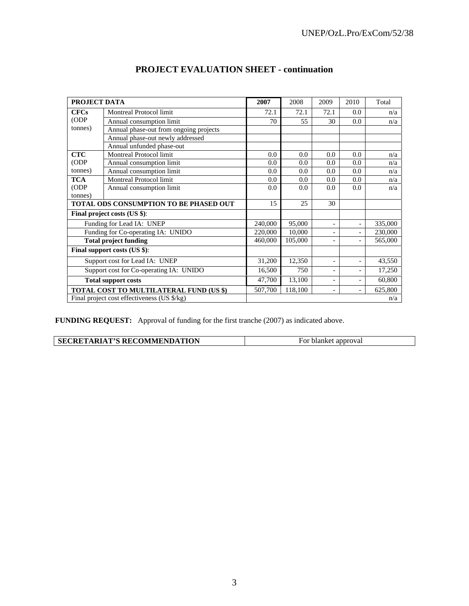| PROJECT DATA                   |                                                | 2007    | 2008                     | 2009                     | 2010                     | Total   |
|--------------------------------|------------------------------------------------|---------|--------------------------|--------------------------|--------------------------|---------|
| <b>CFCs</b>                    | Montreal Protocol limit                        | 72.1    | 72.1                     | 72.1                     | 0.0                      | n/a     |
| (ODP)                          | Annual consumption limit                       | 70      | 55                       | 30                       | 0.0                      | n/a     |
| tonnes)                        | Annual phase-out from ongoing projects         |         |                          |                          |                          |         |
|                                | Annual phase-out newly addressed               |         |                          |                          |                          |         |
|                                | Annual unfunded phase-out                      |         |                          |                          |                          |         |
| <b>CTC</b>                     | Montreal Protocol limit                        | 0.0     | 0.0                      | 0.0                      | 0.0                      | n/a     |
| (ODP)                          | Annual consumption limit                       | 0.0     | 0.0                      | 0.0                      | 0.0                      | n/a     |
| tonnes)                        | Annual consumption limit                       | 0.0     | 0.0                      | 0.0                      | 0.0                      | n/a     |
| <b>TCA</b>                     | Montreal Protocol limit                        | 0.0     | 0.0                      | 0.0                      | 0.0                      | n/a     |
| (ODP)                          | Annual consumption limit                       | 0.0     | 0.0                      | 0.0                      | 0.0                      | n/a     |
| (tonnes)                       |                                                |         |                          |                          |                          |         |
|                                | <b>TOTAL ODS CONSUMPTION TO BE PHASED OUT</b>  | 15      | 25                       | 30                       |                          |         |
|                                | Final project costs (US \$):                   |         |                          |                          |                          |         |
|                                | Funding for Lead IA: UNEP                      | 240,000 | 95,000                   | $\overline{\phantom{a}}$ | $\overline{\phantom{a}}$ | 335,000 |
|                                | Funding for Co-operating IA: UNIDO             | 220,000 | 10,000                   | $\overline{\phantom{a}}$ | $\overline{\phantom{0}}$ | 230,000 |
|                                | <b>Total project funding</b>                   | 460,000 | 105,000                  | $\overline{\phantom{a}}$ | $\overline{\phantom{a}}$ | 565,000 |
|                                | Final support costs (US \$):                   |         |                          |                          |                          |         |
| Support cost for Lead IA: UNEP |                                                | 31,200  | 12,350                   |                          |                          | 43,550  |
|                                | Support cost for Co-operating IA: UNIDO        | 16,500  | 750                      | $\overline{\phantom{a}}$ | $\overline{\phantom{a}}$ | 17,250  |
| <b>Total support costs</b>     | 47,700                                         | 13,100  | $\overline{\phantom{a}}$ | $\overline{\phantom{0}}$ | 60,800                   |         |
|                                | <b>TOTAL COST TO MULTILATERAL FUND (US \$)</b> | 507,700 | 118,100                  | $\overline{\phantom{a}}$ |                          | 625,800 |
|                                | Final project cost effectiveness (US \$/kg)    |         |                          |                          |                          | n/a     |

## **PROJECT EVALUATION SHEET - continuation**

**FUNDING REQUEST:** Approval of funding for the first tranche (2007) as indicated above.

| <b>SECRETARIAT'S RECOMMENDATION</b> | 10 <sup>1</sup><br>лкег<br>addrova.<br>оған |
|-------------------------------------|---------------------------------------------|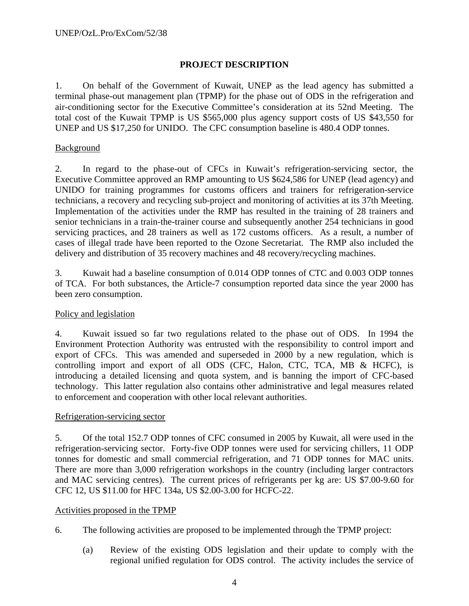## **PROJECT DESCRIPTION**

1. On behalf of the Government of Kuwait, UNEP as the lead agency has submitted a terminal phase-out management plan (TPMP) for the phase out of ODS in the refrigeration and air-conditioning sector for the Executive Committee's consideration at its 52nd Meeting. The total cost of the Kuwait TPMP is US \$565,000 plus agency support costs of US \$43,550 for UNEP and US \$17,250 for UNIDO. The CFC consumption baseline is 480.4 ODP tonnes.

## **Background**

2. In regard to the phase-out of CFCs in Kuwait's refrigeration-servicing sector, the Executive Committee approved an RMP amounting to US \$624,586 for UNEP (lead agency) and UNIDO for training programmes for customs officers and trainers for refrigeration-service technicians, a recovery and recycling sub-project and monitoring of activities at its 37th Meeting. Implementation of the activities under the RMP has resulted in the training of 28 trainers and senior technicians in a train-the-trainer course and subsequently another 254 technicians in good servicing practices, and 28 trainers as well as 172 customs officers. As a result, a number of cases of illegal trade have been reported to the Ozone Secretariat. The RMP also included the delivery and distribution of 35 recovery machines and 48 recovery/recycling machines.

3. Kuwait had a baseline consumption of 0.014 ODP tonnes of CTC and 0.003 ODP tonnes of TCA. For both substances, the Article-7 consumption reported data since the year 2000 has been zero consumption.

## Policy and legislation

4. Kuwait issued so far two regulations related to the phase out of ODS. In 1994 the Environment Protection Authority was entrusted with the responsibility to control import and export of CFCs. This was amended and superseded in 2000 by a new regulation, which is controlling import and export of all ODS (CFC, Halon, CTC, TCA, MB & HCFC), is introducing a detailed licensing and quota system, and is banning the import of CFC-based technology. This latter regulation also contains other administrative and legal measures related to enforcement and cooperation with other local relevant authorities.

#### Refrigeration-servicing sector

5. Of the total 152.7 ODP tonnes of CFC consumed in 2005 by Kuwait, all were used in the refrigeration-servicing sector. Forty-five ODP tonnes were used for servicing chillers, 11 ODP tonnes for domestic and small commercial refrigeration, and 71 ODP tonnes for MAC units. There are more than 3,000 refrigeration workshops in the country (including larger contractors and MAC servicing centres). The current prices of refrigerants per kg are: US \$7.00-9.60 for CFC 12, US \$11.00 for HFC 134a, US \$2.00-3.00 for HCFC-22.

#### Activities proposed in the TPMP

- 6. The following activities are proposed to be implemented through the TPMP project:
	- (a) Review of the existing ODS legislation and their update to comply with the regional unified regulation for ODS control. The activity includes the service of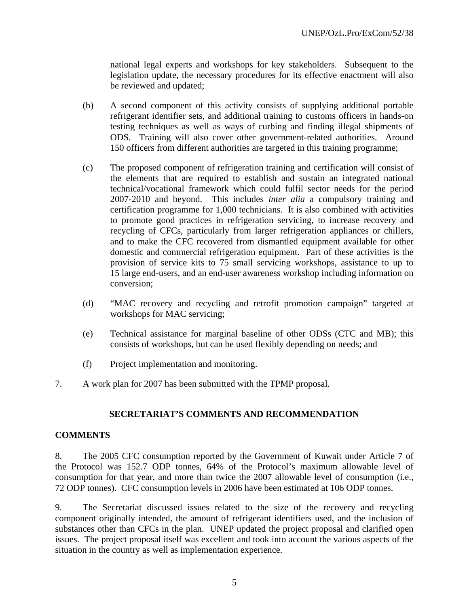national legal experts and workshops for key stakeholders. Subsequent to the legislation update, the necessary procedures for its effective enactment will also be reviewed and updated;

- (b) A second component of this activity consists of supplying additional portable refrigerant identifier sets, and additional training to customs officers in hands-on testing techniques as well as ways of curbing and finding illegal shipments of ODS. Training will also cover other government-related authorities. Around 150 officers from different authorities are targeted in this training programme;
- (c) The proposed component of refrigeration training and certification will consist of the elements that are required to establish and sustain an integrated national technical/vocational framework which could fulfil sector needs for the period 2007-2010 and beyond. This includes *inter alia* a compulsory training and certification programme for 1,000 technicians. It is also combined with activities to promote good practices in refrigeration servicing, to increase recovery and recycling of CFCs, particularly from larger refrigeration appliances or chillers, and to make the CFC recovered from dismantled equipment available for other domestic and commercial refrigeration equipment. Part of these activities is the provision of service kits to 75 small servicing workshops, assistance to up to 15 large end-users, and an end-user awareness workshop including information on conversion;
- (d) "MAC recovery and recycling and retrofit promotion campaign" targeted at workshops for MAC servicing;
- (e) Technical assistance for marginal baseline of other ODSs (CTC and MB); this consists of workshops, but can be used flexibly depending on needs; and
- (f) Project implementation and monitoring.
- 7. A work plan for 2007 has been submitted with the TPMP proposal.

## **SECRETARIAT'S COMMENTS AND RECOMMENDATION**

#### **COMMENTS**

8. The 2005 CFC consumption reported by the Government of Kuwait under Article 7 of the Protocol was 152.7 ODP tonnes, 64% of the Protocol's maximum allowable level of consumption for that year, and more than twice the 2007 allowable level of consumption (i.e., 72 ODP tonnes). CFC consumption levels in 2006 have been estimated at 106 ODP tonnes.

9. The Secretariat discussed issues related to the size of the recovery and recycling component originally intended, the amount of refrigerant identifiers used, and the inclusion of substances other than CFCs in the plan. UNEP updated the project proposal and clarified open issues. The project proposal itself was excellent and took into account the various aspects of the situation in the country as well as implementation experience.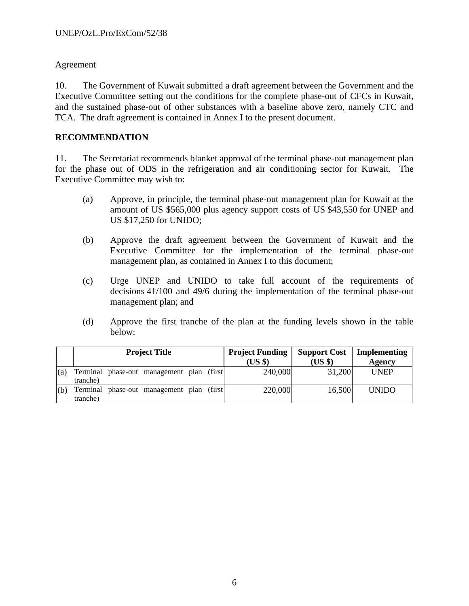## Agreement

10. The Government of Kuwait submitted a draft agreement between the Government and the Executive Committee setting out the conditions for the complete phase-out of CFCs in Kuwait, and the sustained phase-out of other substances with a baseline above zero, namely CTC and TCA. The draft agreement is contained in Annex I to the present document.

## **RECOMMENDATION**

11. The Secretariat recommends blanket approval of the terminal phase-out management plan for the phase out of ODS in the refrigeration and air conditioning sector for Kuwait. The Executive Committee may wish to:

- (a) Approve, in principle, the terminal phase-out management plan for Kuwait at the amount of US \$565,000 plus agency support costs of US \$43,550 for UNEP and US \$17,250 for UNIDO;
- (b) Approve the draft agreement between the Government of Kuwait and the Executive Committee for the implementation of the terminal phase-out management plan, as contained in Annex I to this document;
- (c) Urge UNEP and UNIDO to take full account of the requirements of decisions 41/100 and 49/6 during the implementation of the terminal phase-out management plan; and
- (d) Approve the first tranche of the plan at the funding levels shown in the table below:

|     | <b>Project Title</b> |  |                                            | <b>Project Funding</b> |  | <b>Support Cost</b> | Implementing |              |
|-----|----------------------|--|--------------------------------------------|------------------------|--|---------------------|--------------|--------------|
|     |                      |  |                                            |                        |  | (USS)               | $(US \$      | Agency       |
| (a) | tranche)             |  | Terminal phase-out management plan (first) |                        |  | 240,000             | 31,200       | <b>UNEP</b>  |
| (b) | Terminal<br>tranche) |  | phase-out management plan (first)          |                        |  | 220,000             | 16,500       | <b>UNIDO</b> |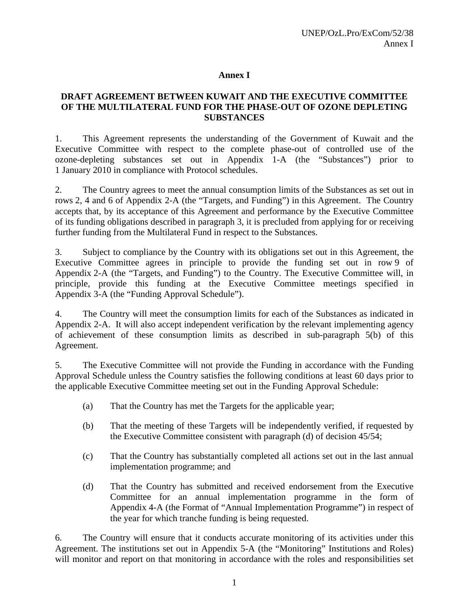#### **Annex I**

## **DRAFT AGREEMENT BETWEEN KUWAIT AND THE EXECUTIVE COMMITTEE OF THE MULTILATERAL FUND FOR THE PHASE-OUT OF OZONE DEPLETING SUBSTANCES**

1. This Agreement represents the understanding of the Government of Kuwait and the Executive Committee with respect to the complete phase-out of controlled use of the ozone-depleting substances set out in Appendix 1-A (the "Substances") prior to 1 January 2010 in compliance with Protocol schedules.

2. The Country agrees to meet the annual consumption limits of the Substances as set out in rows 2, 4 and 6 of Appendix 2-A (the "Targets, and Funding") in this Agreement. The Country accepts that, by its acceptance of this Agreement and performance by the Executive Committee of its funding obligations described in paragraph 3, it is precluded from applying for or receiving further funding from the Multilateral Fund in respect to the Substances.

3. Subject to compliance by the Country with its obligations set out in this Agreement, the Executive Committee agrees in principle to provide the funding set out in row 9 of Appendix 2-A (the "Targets, and Funding") to the Country. The Executive Committee will, in principle, provide this funding at the Executive Committee meetings specified in Appendix 3-A (the "Funding Approval Schedule").

4. The Country will meet the consumption limits for each of the Substances as indicated in Appendix 2-A. It will also accept independent verification by the relevant implementing agency of achievement of these consumption limits as described in sub-paragraph 5(b) of this Agreement.

5. The Executive Committee will not provide the Funding in accordance with the Funding Approval Schedule unless the Country satisfies the following conditions at least 60 days prior to the applicable Executive Committee meeting set out in the Funding Approval Schedule:

- (a) That the Country has met the Targets for the applicable year;
- (b) That the meeting of these Targets will be independently verified, if requested by the Executive Committee consistent with paragraph (d) of decision 45/54;
- (c) That the Country has substantially completed all actions set out in the last annual implementation programme; and
- (d) That the Country has submitted and received endorsement from the Executive Committee for an annual implementation programme in the form of Appendix 4-A (the Format of "Annual Implementation Programme") in respect of the year for which tranche funding is being requested.

6. The Country will ensure that it conducts accurate monitoring of its activities under this Agreement. The institutions set out in Appendix 5-A (the "Monitoring" Institutions and Roles) will monitor and report on that monitoring in accordance with the roles and responsibilities set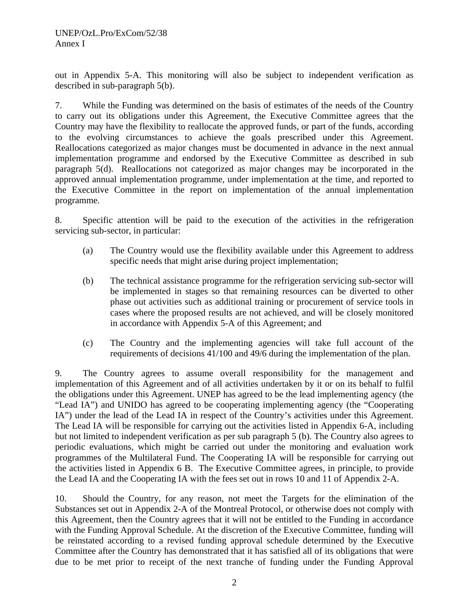out in Appendix 5-A. This monitoring will also be subject to independent verification as described in sub-paragraph 5(b).

7. While the Funding was determined on the basis of estimates of the needs of the Country to carry out its obligations under this Agreement, the Executive Committee agrees that the Country may have the flexibility to reallocate the approved funds, or part of the funds, according to the evolving circumstances to achieve the goals prescribed under this Agreement. Reallocations categorized as major changes must be documented in advance in the next annual implementation programme and endorsed by the Executive Committee as described in sub paragraph 5(d). Reallocations not categorized as major changes may be incorporated in the approved annual implementation programme, under implementation at the time, and reported to the Executive Committee in the report on implementation of the annual implementation programme.

8. Specific attention will be paid to the execution of the activities in the refrigeration servicing sub-sector, in particular:

- (a) The Country would use the flexibility available under this Agreement to address specific needs that might arise during project implementation;
- (b) The technical assistance programme for the refrigeration servicing sub-sector will be implemented in stages so that remaining resources can be diverted to other phase out activities such as additional training or procurement of service tools in cases where the proposed results are not achieved, and will be closely monitored in accordance with Appendix 5-A of this Agreement; and
- (c) The Country and the implementing agencies will take full account of the requirements of decisions 41/100 and 49/6 during the implementation of the plan.

9. The Country agrees to assume overall responsibility for the management and implementation of this Agreement and of all activities undertaken by it or on its behalf to fulfil the obligations under this Agreement. UNEP has agreed to be the lead implementing agency (the "Lead IA") and UNIDO has agreed to be cooperating implementing agency (the "Cooperating IA") under the lead of the Lead IA in respect of the Country's activities under this Agreement. The Lead IA will be responsible for carrying out the activities listed in Appendix 6-A, including but not limited to independent verification as per sub paragraph 5 (b). The Country also agrees to periodic evaluations, which might be carried out under the monitoring and evaluation work programmes of the Multilateral Fund. The Cooperating IA will be responsible for carrying out the activities listed in Appendix 6 B. The Executive Committee agrees, in principle, to provide the Lead IA and the Cooperating IA with the fees set out in rows 10 and 11 of Appendix 2-A.

10. Should the Country, for any reason, not meet the Targets for the elimination of the Substances set out in Appendix 2-A of the Montreal Protocol, or otherwise does not comply with this Agreement, then the Country agrees that it will not be entitled to the Funding in accordance with the Funding Approval Schedule. At the discretion of the Executive Committee, funding will be reinstated according to a revised funding approval schedule determined by the Executive Committee after the Country has demonstrated that it has satisfied all of its obligations that were due to be met prior to receipt of the next tranche of funding under the Funding Approval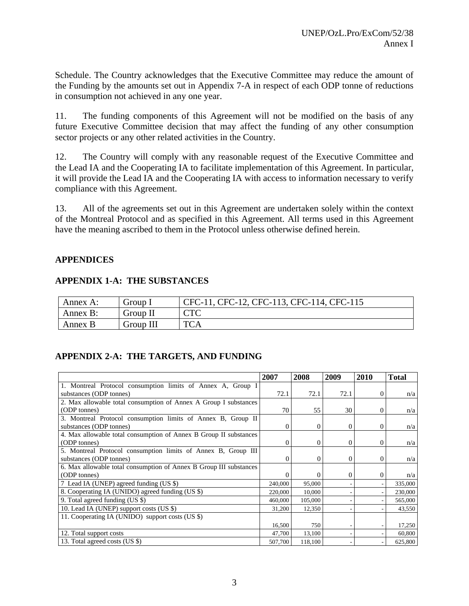Schedule. The Country acknowledges that the Executive Committee may reduce the amount of the Funding by the amounts set out in Appendix 7-A in respect of each ODP tonne of reductions in consumption not achieved in any one year.

11. The funding components of this Agreement will not be modified on the basis of any future Executive Committee decision that may affect the funding of any other consumption sector projects or any other related activities in the Country.

12. The Country will comply with any reasonable request of the Executive Committee and the Lead IA and the Cooperating IA to facilitate implementation of this Agreement. In particular, it will provide the Lead IA and the Cooperating IA with access to information necessary to verify compliance with this Agreement.

13. All of the agreements set out in this Agreement are undertaken solely within the context of the Montreal Protocol and as specified in this Agreement. All terms used in this Agreement have the meaning ascribed to them in the Protocol unless otherwise defined herein.

## **APPENDICES**

|  | <b>APPENDIX 1-A: THE SUBSTANCES</b> |
|--|-------------------------------------|
|--|-------------------------------------|

| Annex A: | Group I   | CFC-11, CFC-12, CFC-113, CFC-114, CFC-115 |
|----------|-----------|-------------------------------------------|
| Annex B: | Group II  | $\cap$ T $\cap$                           |
| Annex B  | Group III | <b>TCA</b>                                |

## **APPENDIX 2-A: THE TARGETS, AND FUNDING**

|                                                                    | 2007    | 2008           | 2009     | 2010         | <b>Total</b> |
|--------------------------------------------------------------------|---------|----------------|----------|--------------|--------------|
| 1. Montreal Protocol consumption limits of Annex A, Group I        |         |                |          |              |              |
| substances (ODP tonnes)                                            | 72.1    | 72.1           | 72.1     | 0            | n/a          |
| 2. Max allowable total consumption of Annex A Group I substances   |         |                |          |              |              |
| (ODP tonnes)                                                       | 70      | 55             | 30       | $\Omega$     | n/a          |
| 3. Montreal Protocol consumption limits of Annex B, Group II       |         |                |          |              |              |
| substances (ODP tonnes)                                            | 0       | $\mathbf{0}$   | $\theta$ | $\mathbf{0}$ | n/a          |
| 4. Max allowable total consumption of Annex B Group II substances  |         |                |          |              |              |
| (ODP tonnes)                                                       | 0       | $\overline{0}$ | $\Omega$ | $\Omega$     | n/a          |
| 5. Montreal Protocol consumption limits of Annex B, Group III      |         |                |          |              |              |
| substances (ODP tonnes)                                            | 0       | $\overline{0}$ | $\Omega$ | $\Omega$     | n/a          |
| 6. Max allowable total consumption of Annex B Group III substances |         |                |          |              |              |
| (ODP tonnes)                                                       | 0       | $\Omega$       | $\Omega$ | $\Omega$     | n/a          |
| 7 Lead IA (UNEP) agreed funding (US \$)                            | 240,000 | 95,000         |          |              | 335,000      |
| 8. Cooperating IA (UNIDO) agreed funding (US \$)                   | 220,000 | 10,000         |          |              | 230,000      |
| 9. Total agreed funding (US \$)                                    | 460,000 | 105,000        |          |              | 565,000      |
| 10. Lead IA (UNEP) support costs (US \$)                           | 31,200  | 12,350         |          |              | 43,550       |
| 11. Cooperating IA (UNIDO) support costs (US \$)                   |         |                |          |              |              |
|                                                                    | 16,500  | 750            |          |              | 17,250       |
| 12. Total support costs                                            | 47,700  | 13,100         |          |              | 60,800       |
| 13. Total agreed costs (US \$)                                     | 507,700 | 118,100        |          |              | 625,800      |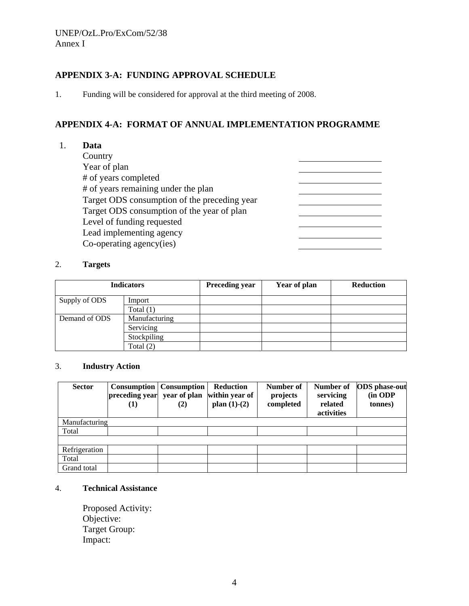## **APPENDIX 3-A: FUNDING APPROVAL SCHEDULE**

1. Funding will be considered for approval at the third meeting of 2008.

## **APPENDIX 4-A: FORMAT OF ANNUAL IMPLEMENTATION PROGRAMME**

<u> Listen de la componenta</u>

1. **Data** 

**Country**  Year of plan # of years completed # of years remaining under the plan Target ODS consumption of the preceding year Target ODS consumption of the year of plan Level of funding requested Lead implementing agency Co-operating agency(ies)

#### 2. **Targets**

| <b>Indicators</b> |               | <b>Preceding year</b> | Year of plan | <b>Reduction</b> |
|-------------------|---------------|-----------------------|--------------|------------------|
| Supply of ODS     | Import        |                       |              |                  |
|                   | Total $(1)$   |                       |              |                  |
| Demand of ODS     | Manufacturing |                       |              |                  |
|                   | Servicing     |                       |              |                  |
|                   | Stockpiling   |                       |              |                  |
|                   | Total $(2)$   |                       |              |                  |

#### 3. **Industry Action**

| <b>Sector</b> | preceding year<br>$\bf(1)$ | <b>Consumption</b> Consumption<br>year of plan<br>(2) | <b>Reduction</b><br>within year of<br>plan $(1)-(2)$ | Number of<br>projects<br>completed | Number of<br>servicing<br>related<br>activities | <b>ODS</b> phase-out<br>(in ODP<br>tonnes) |
|---------------|----------------------------|-------------------------------------------------------|------------------------------------------------------|------------------------------------|-------------------------------------------------|--------------------------------------------|
| Manufacturing |                            |                                                       |                                                      |                                    |                                                 |                                            |
| Total         |                            |                                                       |                                                      |                                    |                                                 |                                            |
|               |                            |                                                       |                                                      |                                    |                                                 |                                            |
| Refrigeration |                            |                                                       |                                                      |                                    |                                                 |                                            |
| Total         |                            |                                                       |                                                      |                                    |                                                 |                                            |
| Grand total   |                            |                                                       |                                                      |                                    |                                                 |                                            |

#### 4. **Technical Assistance**

Proposed Activity: Objective: Target Group: Impact: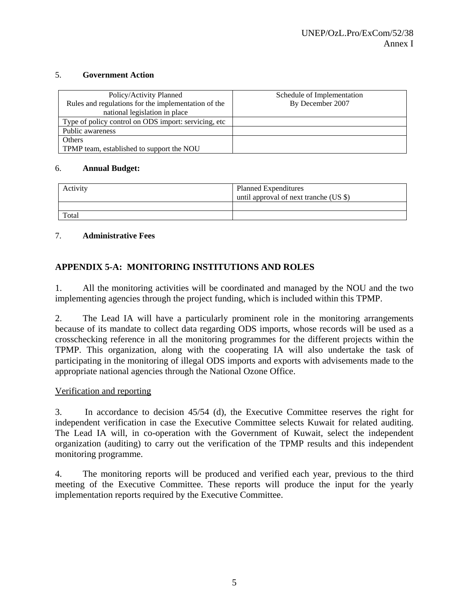#### 5. **Government Action**

| Policy/Activity Planned<br>Rules and regulations for the implementation of the<br>national legislation in place | Schedule of Implementation<br>By December 2007 |
|-----------------------------------------------------------------------------------------------------------------|------------------------------------------------|
| Type of policy control on ODS import: servicing, etc.                                                           |                                                |
| Public awareness                                                                                                |                                                |
| Others                                                                                                          |                                                |
| TPMP team, established to support the NOU                                                                       |                                                |

#### 6. **Annual Budget:**

| Activity | <b>Planned Expenditures</b><br>until approval of next tranche (US \$) |
|----------|-----------------------------------------------------------------------|
|          |                                                                       |
| Total    |                                                                       |

#### 7. **Administrative Fees**

## **APPENDIX 5-A: MONITORING INSTITUTIONS AND ROLES**

1. All the monitoring activities will be coordinated and managed by the NOU and the two implementing agencies through the project funding, which is included within this TPMP.

2. The Lead IA will have a particularly prominent role in the monitoring arrangements because of its mandate to collect data regarding ODS imports, whose records will be used as a crosschecking reference in all the monitoring programmes for the different projects within the TPMP. This organization, along with the cooperating IA will also undertake the task of participating in the monitoring of illegal ODS imports and exports with advisements made to the appropriate national agencies through the National Ozone Office.

#### Verification and reporting

3. In accordance to decision 45/54 (d), the Executive Committee reserves the right for independent verification in case the Executive Committee selects Kuwait for related auditing. The Lead IA will, in co-operation with the Government of Kuwait, select the independent organization (auditing) to carry out the verification of the TPMP results and this independent monitoring programme.

4. The monitoring reports will be produced and verified each year, previous to the third meeting of the Executive Committee. These reports will produce the input for the yearly implementation reports required by the Executive Committee.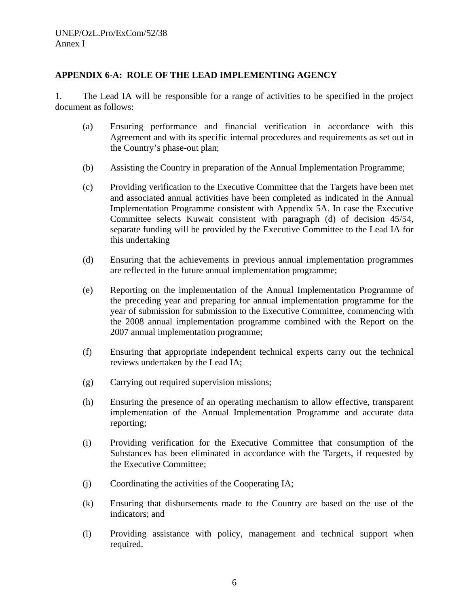#### **APPENDIX 6-A: ROLE OF THE LEAD IMPLEMENTING AGENCY**

1. The Lead IA will be responsible for a range of activities to be specified in the project document as follows:

- (a) Ensuring performance and financial verification in accordance with this Agreement and with its specific internal procedures and requirements as set out in the Country's phase-out plan;
- (b) Assisting the Country in preparation of the Annual Implementation Programme;
- (c) Providing verification to the Executive Committee that the Targets have been met and associated annual activities have been completed as indicated in the Annual Implementation Programme consistent with Appendix 5A. In case the Executive Committee selects Kuwait consistent with paragraph (d) of decision 45/54, separate funding will be provided by the Executive Committee to the Lead IA for this undertaking
- (d) Ensuring that the achievements in previous annual implementation programmes are reflected in the future annual implementation programme;
- (e) Reporting on the implementation of the Annual Implementation Programme of the preceding year and preparing for annual implementation programme for the year of submission for submission to the Executive Committee, commencing with the 2008 annual implementation programme combined with the Report on the 2007 annual implementation programme;
- (f) Ensuring that appropriate independent technical experts carry out the technical reviews undertaken by the Lead IA;
- (g) Carrying out required supervision missions;
- (h) Ensuring the presence of an operating mechanism to allow effective, transparent implementation of the Annual Implementation Programme and accurate data reporting;
- (i) Providing verification for the Executive Committee that consumption of the Substances has been eliminated in accordance with the Targets, if requested by the Executive Committee;
- (j) Coordinating the activities of the Cooperating IA;
- (k) Ensuring that disbursements made to the Country are based on the use of the indicators; and
- (l) Providing assistance with policy, management and technical support when required.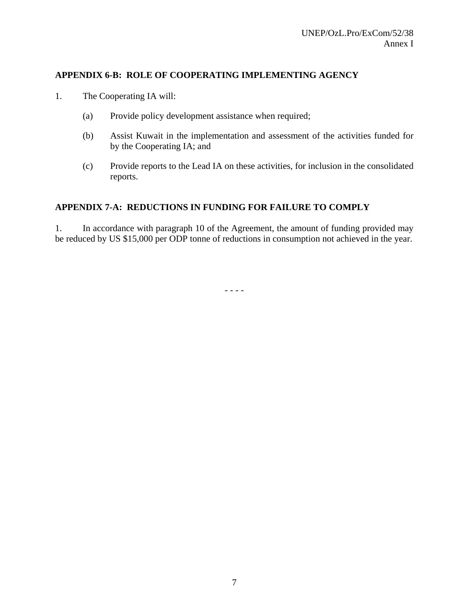## **APPENDIX 6-B: ROLE OF COOPERATING IMPLEMENTING AGENCY**

- 1. The Cooperating IA will:
	- (a) Provide policy development assistance when required;
	- (b) Assist Kuwait in the implementation and assessment of the activities funded for by the Cooperating IA; and
	- (c) Provide reports to the Lead IA on these activities, for inclusion in the consolidated reports.

### **APPENDIX 7-A: REDUCTIONS IN FUNDING FOR FAILURE TO COMPLY**

1. In accordance with paragraph 10 of the Agreement, the amount of funding provided may be reduced by US \$15,000 per ODP tonne of reductions in consumption not achieved in the year.

- - - -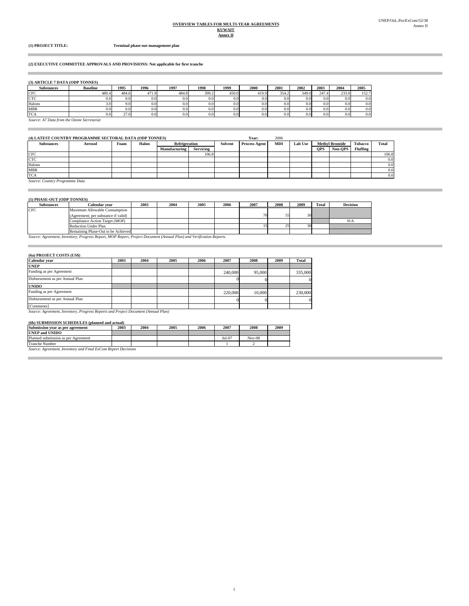#### **Annex II OVERVIEW TABLES FOR MULTI-YEAR AGREEMENTS KUWAIT**

Î.

i.

**(1) PROJECT TITLE: Terminal phase-out management plan**

#### **(2) EXECUTIVE COMMITTEE APPROVALS AND PROVISIONS: Not applicable for first tranche**

#### **(3) ARTICLE 7 DATA (ODP TONNES)**

| <b>Substances</b> | <b>Baseline</b>                            | 1995  | 1996  | 1997  | 1998  | 1999  | 2000             | 2001             | 2002  | 2003  | 2004             | 2005  |
|-------------------|--------------------------------------------|-------|-------|-------|-------|-------|------------------|------------------|-------|-------|------------------|-------|
| <b>CFC</b>        | 480.4                                      | 484.6 | 471.9 | 484.8 | 399.2 | 450.0 | 419.9            | 354.2            | 349.0 | 247.4 | 233.0            | 152.7 |
| <b>CTC</b>        | 0.0                                        |       | 0.0   | 0.0   | 0.0   | 0.0   | 0.0 <sub>l</sub> | 0.0              | 0.0   | 0.0   | 0.0 <sub>l</sub> | 0.0   |
| Halons            | 3.O                                        |       | 0.0   | 0.0   | 0.0   | 0.0   | 0.0 <sub>l</sub> | 0.0 <sub>l</sub> | 0.0   | 0.0   | 0.0              | 0.0   |
| <b>MBR</b>        |                                            |       | 0.0   | 0.0   | 0.0   | 0.0   | 0.0 <sub>l</sub> | 0.0 <sub>l</sub> | 0.0   | 0.0   | 0.0 <sub>l</sub> | 0.0   |
| <b>TCA</b>        | $_{0.0}$                                   | 27.0  | 0.0   | 0.0   | 0.0   | 0.0   | 0.0              | 0.0              | 0.0   | 0.0   | 0.0              | 0.0   |
|                   | Source: A7 Data from the Ozone Secretariat |       |       |       |       |       |                  |                  |       |       |                  |       |

| (4) LATEST COUNTRY PROGRAMME SECTORAL DATA (ODP TONNES) |                |      |       |                      |                  |         | Year:                | 2006       |                |            |                       |                 |              |
|---------------------------------------------------------|----------------|------|-------|----------------------|------------------|---------|----------------------|------------|----------------|------------|-----------------------|-----------------|--------------|
| <b>Substances</b>                                       | <b>Aerosol</b> | Foam | Halon | <b>Refrigeration</b> |                  | Solvent | <b>Process Agent</b> | <b>MDI</b> | <b>Lab Use</b> |            | <b>Methyl Bromide</b> | Tobacco         | <b>Total</b> |
|                                                         |                |      |       | <b>Manufacturing</b> | <b>Servicing</b> |         |                      |            |                | <b>OPS</b> | Non-OPS               | <b>Fluffing</b> |              |
| <b>CFC</b>                                              |                |      |       |                      | 106.8            |         |                      |            |                |            |                       |                 | 106.8        |
| <b>CTC</b>                                              |                |      |       |                      |                  |         |                      |            |                |            |                       |                 | 0.0          |
| Halons                                                  |                |      |       |                      |                  |         |                      |            |                |            |                       |                 | 0.0          |
| <b>MBR</b>                                              |                |      |       |                      |                  |         |                      |            |                |            |                       |                 | 0.0          |
| <b>TCA</b>                                              |                |      |       |                      |                  |         |                      |            |                |            |                       |                 | 0.0          |

1

*Source: Country Programme Data*

#### **(5) PHASE-OUT (ODP TONNES)**

| <b>STERASE OUT TOPE TONNES!</b> |                                                                      |      |      |      |      |      |      |      |         |                                                                                                                |
|---------------------------------|----------------------------------------------------------------------|------|------|------|------|------|------|------|---------|----------------------------------------------------------------------------------------------------------------|
| <b>Substances</b>               | Calendar vear                                                        | 2003 | 2004 | 2005 | 2006 | 2007 | 2008 | 2009 | Total   | <b>Decision</b>                                                                                                |
| <b>CFC</b>                      | Maximum Allowable Consumption<br>(Agreement: per substance if valid) |      |      |      |      |      | -    |      |         | $\frac{1}{30}$                                                                                                 |
|                                 | Compliance Action Target (MOP)                                       |      |      |      |      |      |      |      | William | N/A                                                                                                            |
|                                 | <b>Reduction Under Plan</b>                                          |      |      |      |      |      |      |      |         | <b>Viitikkikkikkikkikkikkikk</b>                                                                               |
|                                 | Remaining Phase-Out to be Achieved                                   |      |      |      |      |      |      |      |         | a dheeraa aan ah dhaqaan ah dhaqaan ah dhaqaan ah dhaqaan ah dhaqaan ah dhaqaan ah dhaqaan ah dhaqaan ah dhaqa |
|                                 |                                                                      |      |      |      |      |      |      |      |         |                                                                                                                |

*Source: Agreement, Inventory, Progress Report, MOP Report, Project Document (Annual Plan) and Verification Reports.*

#### **(6a) PROJECT COSTS (US\$)**

| Calendar vear                   | 2003 | 2004 | 2005 | 2006 | 2007    | 2008   | 2009 | <b>Total</b> |
|---------------------------------|------|------|------|------|---------|--------|------|--------------|
| <b>UNEP</b>                     |      |      |      |      |         |        |      |              |
| Funding as per Agreement        |      |      |      |      | 240,000 | 95,000 |      | 335,000      |
| Disbursement as per Annual Plan |      |      |      |      |         |        |      |              |
| <b>UNIDO</b>                    |      |      |      |      |         |        |      |              |
| Funding as per Agreement        |      |      |      |      | 220,000 | 10,000 |      | 230,000      |
| Disbursement as per Annual Plan |      |      |      |      |         |        |      |              |
| [Comments]                      |      |      |      |      |         |        |      |              |

[Comments]<br>Source: Agreement, Inventory, Progress Reports and Project Document (Annual Plan)

#### **(6b) SUBMISSION SCHEDULES (planned and actual)**

| Submission year as per agreement                            | 2003                                                 | 2004 | 2005 | 2006 | 2007     | 2008     | 2009 |
|-------------------------------------------------------------|------------------------------------------------------|------|------|------|----------|----------|------|
| <b>UNEP and UNIDO</b>                                       |                                                      |      |      |      |          |          |      |
| Planned submission as per Agreement                         |                                                      |      |      |      | $Jul-07$ | $Nov-08$ |      |
| <b>Tranche Number</b>                                       |                                                      |      |      |      |          |          |      |
| <b><i><u>A WHO AND </u></i></b><br>.<br><b>Service</b><br>- | <b>Contract Contract Contract Contract</b><br>$\sim$ |      |      |      |          |          |      |

*Source: Agreement, Inventory and Final ExCom Report Decisions*